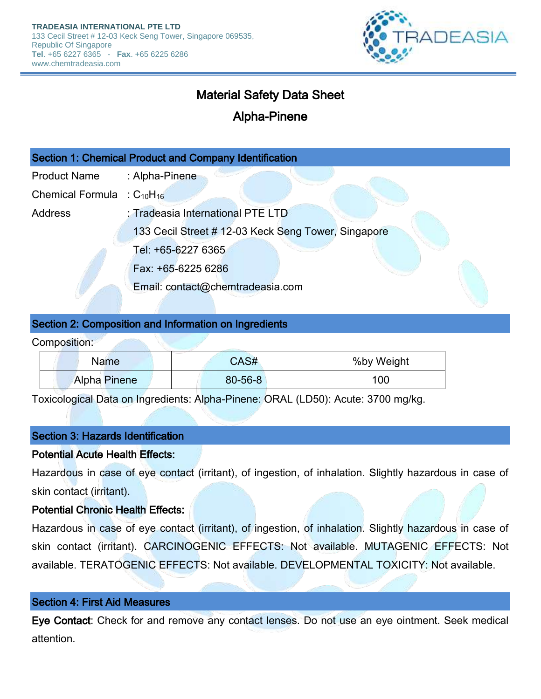

# Material Safety Data Sheet

# Alpha-Pinene

| Section 1: Chemical Product and Company Identification |                                                                                          |  |  |
|--------------------------------------------------------|------------------------------------------------------------------------------------------|--|--|
| <b>Product Name</b>                                    | : Alpha-Pinene                                                                           |  |  |
| <b>Chemical Formula</b>                                | $\therefore$ C <sub>10</sub> H <sub>16</sub>                                             |  |  |
| <b>Address</b>                                         | : Tradeasia International PTE LTD<br>133 Cecil Street # 12-03 Keck Seng Tower, Singapore |  |  |
|                                                        |                                                                                          |  |  |
|                                                        | Tel: +65-6227 6365                                                                       |  |  |
|                                                        | Fax: +65-6225 6286                                                                       |  |  |
|                                                        | Email: contact@chemtradeasia.com                                                         |  |  |

## Section 2: Composition and Information on Ingredients

Composition:

| <b>Name</b>         | CAS#          | %by Weight |
|---------------------|---------------|------------|
| <b>Alpha Pinene</b> | $80 - 56 - 8$ | 100        |

Toxicological Data on Ingredients: Alpha-Pinene: ORAL (LD50): Acute: 3700 mg/kg.

#### Section 3: Hazards Identification

#### Potential Acute Health Effects:

Hazardous in case of eye contact (irritant), of ingestion, of inhalation. Slightly hazardous in case of skin contact (irritant).

### Potential Chronic Health Effects:

Hazardous in case of eye contact (irritant), of ingestion, of inhalation. Slightly hazardous in case of skin contact (irritant). CARCINOGENIC EFFECTS: Not available. MUTAGENIC EFFECTS: Not available. TERATOGENIC EFFECTS: Not available. DEVELOPMENTAL TOXICITY: Not available.

#### Section 4: First Aid Measures

Eye Contact: Check for and remove any contact lenses. Do not use an eye ointment. Seek medical attention.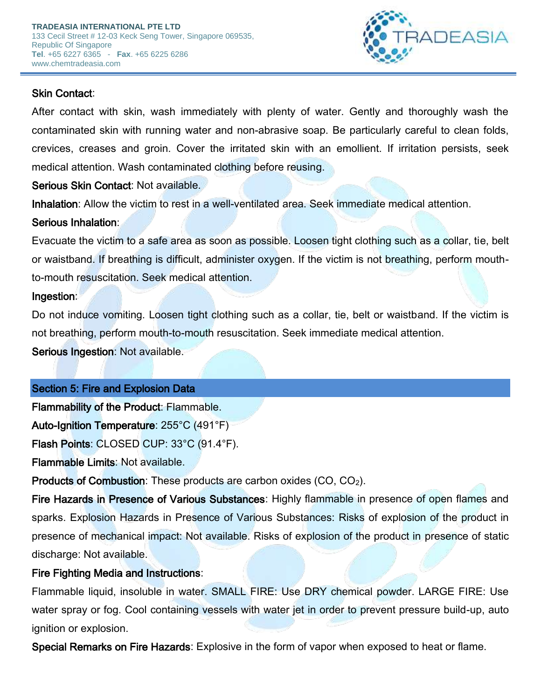

# Skin Contact:

After contact with skin, wash immediately with plenty of water. Gently and thoroughly wash the contaminated skin with running water and non-abrasive soap. Be particularly careful to clean folds, crevices, creases and groin. Cover the irritated skin with an emollient. If irritation persists, seek medical attention. Wash contaminated clothing before reusing.

Serious Skin Contact: Not available.

Inhalation: Allow the victim to rest in a well-ventilated area. Seek immediate medical attention.

# Serious Inhalation:

Evacuate the victim to a safe area as soon as possible. Loosen tight clothing such as a collar, tie, belt or waistband. If breathing is difficult, administer oxygen. If the victim is not breathing, perform mouthto-mouth resuscitation. Seek medical attention.

# Ingestion:

Do not induce vomiting. Loosen tight clothing such as a collar, tie, belt or waistband. If the victim is not breathing, perform mouth-to-mouth resuscitation. Seek immediate medical attention.

Serious Ingestion: Not available.

# Section 5: Fire and Explosion Data

Flammability of the Product: Flammable.

Auto-Ignition Temperature: 255°C (491°F)

Flash Points: CLOSED CUP: 33°C (91.4°F).

Flammable Limits: Not available.

Products of Combustion: These products are carbon oxides (CO, CO2).

Fire Hazards in Presence of Various Substances: Highly flammable in presence of open flames and sparks. Explosion Hazards in Presence of Various Substances: Risks of explosion of the product in presence of mechanical impact: Not available. Risks of explosion of the product in presence of static discharge: Not available.

# Fire Fighting Media and Instructions:

Flammable liquid, insoluble in water. SMALL FIRE: Use DRY chemical powder. LARGE FIRE: Use water spray or fog. Cool containing vessels with water jet in order to prevent pressure build-up, auto ignition or explosion.

Special Remarks on Fire Hazards: Explosive in the form of vapor when exposed to heat or flame.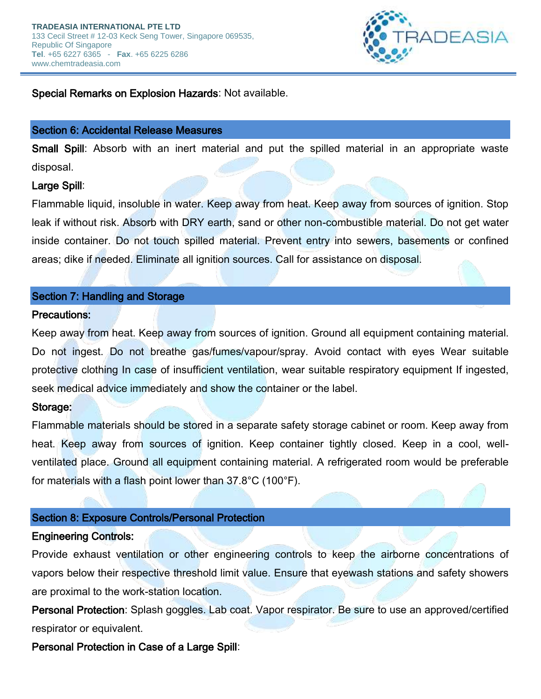

## Special Remarks on Explosion Hazards: Not available.

#### Section 6: Accidental Release Measures

Small Spill: Absorb with an inert material and put the spilled material in an appropriate waste disposal.

### Large Spill:

Flammable liquid, insoluble in water. Keep away from heat. Keep away from sources of ignition. Stop leak if without risk. Absorb with DRY earth, sand or other non-combustible material. Do not get water inside container. Do not touch spilled material. Prevent entry into sewers, basements or confined areas; dike if needed. Eliminate all ignition sources. Call for assistance on disposal.

#### Section 7: Handling and Storage

#### Precautions:

Keep away from heat. Keep away from sources of ignition. Ground all equipment containing material. Do not ingest. Do not breathe gas/fumes/vapour/spray. Avoid contact with eyes Wear suitable protective clothing In case of insufficient ventilation, wear suitable respiratory equipment If ingested, seek medical advice immediately and show the container or the label.

#### Storage:

Flammable materials should be stored in a separate safety storage cabinet or room. Keep away from heat. Keep away from sources of ignition. Keep container tightly closed. Keep in a cool, wellventilated place. Ground all equipment containing material. A refrigerated room would be preferable for materials with a flash point lower than 37.8°C (100°F).

### Section 8: Exposure Controls/Personal Protection

#### Engineering Controls:

Provide exhaust ventilation or other engineering controls to keep the airborne concentrations of vapors below their respective threshold limit value. Ensure that eyewash stations and safety showers are proximal to the work-station location.

Personal Protection: Splash goggles. Lab coat. Vapor respirator. Be sure to use an approved/certified respirator or equivalent.

Personal Protection in Case of a Large Spill: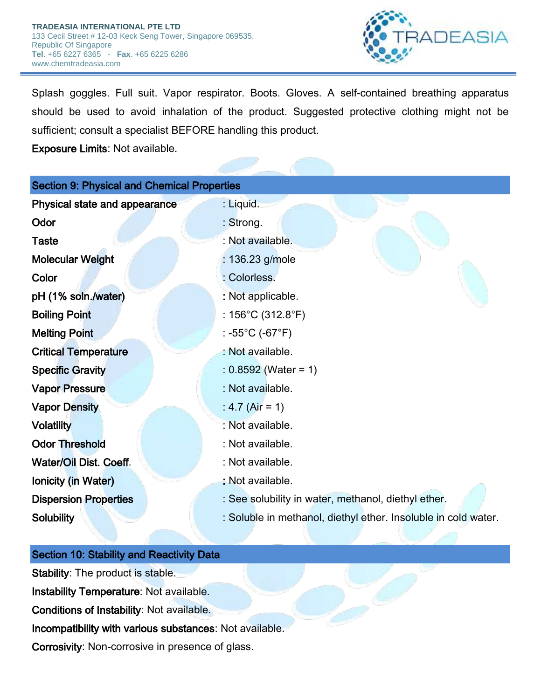

Splash goggles. Full suit. Vapor respirator. Boots. Gloves. A self-contained breathing apparatus should be used to avoid inhalation of the product. Suggested protective clothing might not be sufficient; consult a specialist BEFORE handling this product.

Exposure Limits: Not available.

| <b>Section 9: Physical and Chemical Properties</b> |                                                                |  |  |  |
|----------------------------------------------------|----------------------------------------------------------------|--|--|--|
| Physical state and appearance                      | : Liquid.                                                      |  |  |  |
| Odor                                               | : Strong.                                                      |  |  |  |
| <b>Taste</b>                                       | : Not available.                                               |  |  |  |
| <b>Molecular Weight</b>                            | : 136.23 g/mole                                                |  |  |  |
| Color                                              | : Colorless.                                                   |  |  |  |
| pH (1% soln./water)                                | : Not applicable.                                              |  |  |  |
| <b>Boiling Point</b>                               | : $156^{\circ}$ C (312.8 $^{\circ}$ F)                         |  |  |  |
| <b>Melting Point</b>                               | : -55°C (-67°F)                                                |  |  |  |
| <b>Critical Temperature</b>                        | : Not available.                                               |  |  |  |
| <b>Specific Gravity</b>                            | $: 0.8592$ (Water = 1)                                         |  |  |  |
| <b>Vapor Pressure</b>                              | : Not available.                                               |  |  |  |
| <b>Vapor Density</b>                               | : 4.7 (Air = 1)                                                |  |  |  |
| <b>Volatility</b>                                  | : Not available.                                               |  |  |  |
| <b>Odor Threshold</b>                              | : Not available.                                               |  |  |  |
| Water/Oil Dist. Coeff.                             | : Not available.                                               |  |  |  |
| Ionicity (in Water)                                | : Not available.                                               |  |  |  |
| <b>Dispersion Properties</b>                       | : See solubility in water, methanol, diethyl ether.            |  |  |  |
| <b>Solubility</b>                                  | : Soluble in methanol, diethyl ether. Insoluble in cold water. |  |  |  |
|                                                    |                                                                |  |  |  |

## Section 10: Stability and Reactivity Data

Stability: The product is stable. Instability Temperature: Not available. Conditions of Instability: Not available. Incompatibility with various substances: Not available. Corrosivity: Non-corrosive in presence of glass.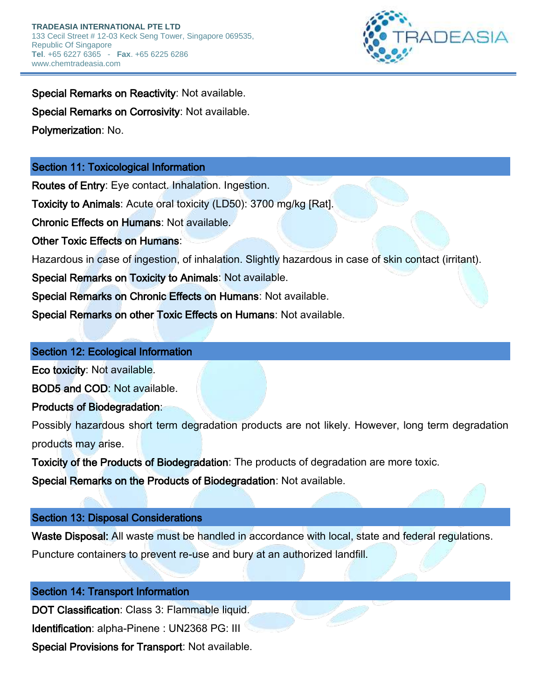

Special Remarks on Reactivity: Not available. Special Remarks on Corrosivity: Not available. Polymerization: No.

# Section 11: Toxicological Information

Routes of Entry: Eye contact. Inhalation. Ingestion.

Toxicity to Animals: Acute oral toxicity (LD50): 3700 mg/kg [Rat].

Chronic Effects on Humans: Not available.

Other Toxic Effects on Humans:

Hazardous in case of ingestion, of inhalation. Slightly hazardous in case of skin contact (irritant).

Special Remarks on Toxicity to Animals: Not available.

Special Remarks on Chronic Effects on Humans: Not available.

Special Remarks on other Toxic Effects on Humans: Not available.

## Section 12: Ecological Information

Eco toxicity: Not available.

BOD5 and COD: Not available.

Products of Biodegradation:

Possibly hazardous short term degradation products are not likely. However, long term degradation products may arise.

Toxicity of the Products of Biodegradation: The products of degradation are more toxic.

Special Remarks on the Products of Biodegradation: Not available.

# Section 13: Disposal Considerations

Waste Disposal: All waste must be handled in accordance with local, state and federal regulations.

Puncture containers to prevent re-use and bury at an authorized landfill.

# Section 14: Transport Information

DOT Classification: Class 3: Flammable liquid. Identification: alpha-Pinene : UN2368 PG: III Special Provisions for Transport: Not available.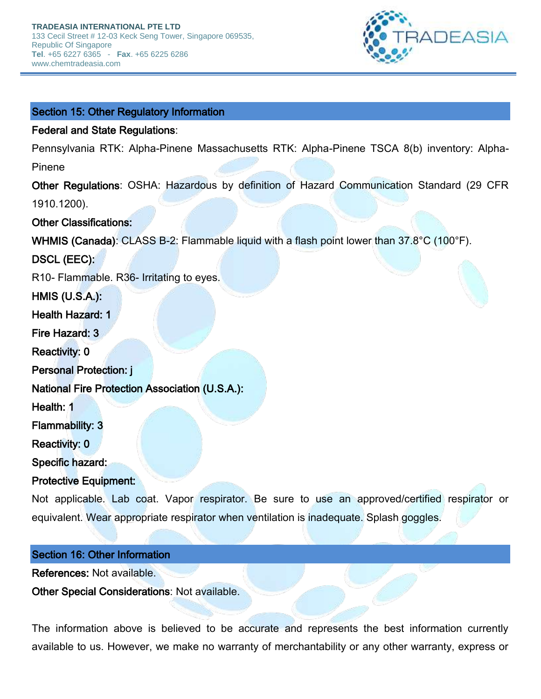

#### Section 15: Other Regulatory Information

#### Federal and State Regulations:

Pennsylvania RTK: Alpha-Pinene Massachusetts RTK: Alpha-Pinene TSCA 8(b) inventory: Alpha-Pinene

Other Regulations: OSHA: Hazardous by definition of Hazard Communication Standard (29 CFR 1910.1200).

#### Other Classifications:

WHMIS (Canada): CLASS B-2: Flammable liquid with a flash point lower than 37.8°C (100°F).

DSCL (EEC):

R10- Flammable. R36- Irritating to eyes.

HMIS (U.S.A.):

Health Hazard: 1

Fire Hazard: 3

Reactivity: 0

Personal Protection: j

National Fire Protection Association (U.S.A.):

Health: 1

Flammability: 3

Reactivity: 0

Specific hazard:

Protective Equipment:

Not applicable. Lab coat. Vapor respirator. Be sure to use an approved/certified respirator or equivalent. Wear appropriate respirator when ventilation is inadequate. Splash goggles.

#### Section 16: Other Information

References: Not available.

Other Special Considerations: Not available.

The information above is believed to be accurate and represents the best information currently available to us. However, we make no warranty of merchantability or any other warranty, express or